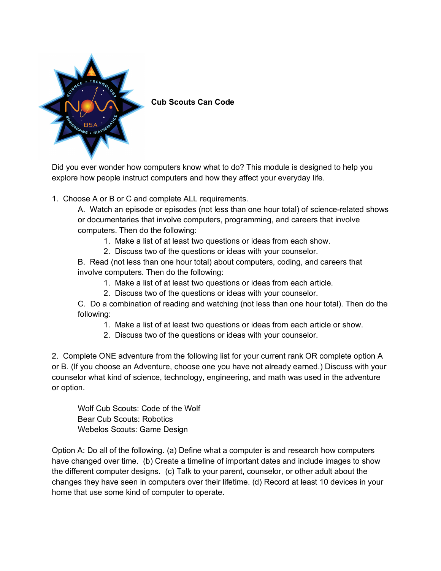

**Cub Scouts Can Code**

Did you ever wonder how computers know what to do? This module is designed to help you explore how people instruct computers and how they affect your everyday life.

1. Choose A or B or C and complete ALL requirements.

A. Watch an episode or episodes (not less than one hour total) of science-related shows or documentaries that involve computers, programming, and careers that involve computers. Then do the following:

- 1. Make a list of at least two questions or ideas from each show.
- 2. Discuss two of the questions or ideas with your counselor.

B. Read (not less than one hour total) about computers, coding, and careers that involve computers. Then do the following:

- 1. Make a list of at least two questions or ideas from each article.
- 2. Discuss two of the questions or ideas with your counselor.

C. Do a combination of reading and watching (not less than one hour total). Then do the following:

- 1. Make a list of at least two questions or ideas from each article or show.
- 2. Discuss two of the questions or ideas with your counselor.

2. Complete ONE adventure from the following list for your current rank OR complete option A or B. (If you choose an Adventure, choose one you have not already earned.) Discuss with your counselor what kind of science, technology, engineering, and math was used in the adventure or option.

Wolf Cub Scouts: Code of the Wolf Bear Cub Scouts: Robotics Webelos Scouts: Game Design

Option A: Do all of the following. (a) Define what a computer is and research how computers have changed over time. (b) Create a timeline of important dates and include images to show the different computer designs. (c) Talk to your parent, counselor, or other adult about the changes they have seen in computers over their lifetime. (d) Record at least 10 devices in your home that use some kind of computer to operate.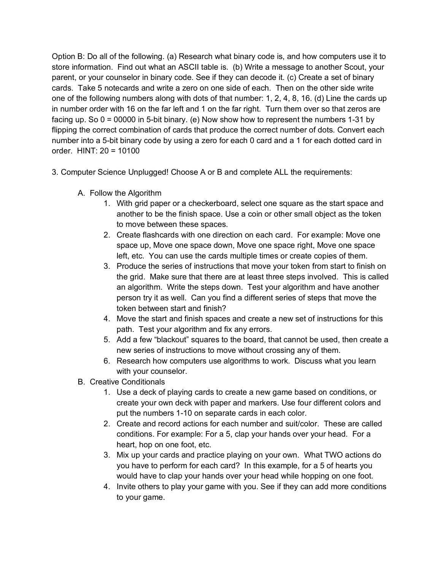Option B: Do all of the following. (a) Research what binary code is, and how computers use it to store information. Find out what an ASCII table is. (b) Write a message to another Scout, your parent, or your counselor in binary code. See if they can decode it. (c) Create a set of binary cards. Take 5 notecards and write a zero on one side of each. Then on the other side write one of the following numbers along with dots of that number: 1, 2, 4, 8, 16. (d) Line the cards up in number order with 16 on the far left and 1 on the far right. Turn them over so that zeros are facing up. So 0 = 00000 in 5-bit binary. (e) Now show how to represent the numbers 1-31 by flipping the correct combination of cards that produce the correct number of dots. Convert each number into a 5-bit binary code by using a zero for each 0 card and a 1 for each dotted card in order. HINT: 20 = 10100

- 3. Computer Science Unplugged! Choose A or B and complete ALL the requirements:
	- A. Follow the Algorithm
		- 1. With grid paper or a checkerboard, select one square as the start space and another to be the finish space. Use a coin or other small object as the token to move between these spaces.
		- 2. Create flashcards with one direction on each card. For example: Move one space up, Move one space down, Move one space right, Move one space left, etc. You can use the cards multiple times or create copies of them.
		- 3. Produce the series of instructions that move your token from start to finish on the grid. Make sure that there are at least three steps involved. This is called an algorithm. Write the steps down. Test your algorithm and have another person try it as well. Can you find a different series of steps that move the token between start and finish?
		- 4. Move the start and finish spaces and create a new set of instructions for this path. Test your algorithm and fix any errors.
		- 5. Add a few "blackout" squares to the board, that cannot be used, then create a new series of instructions to move without crossing any of them.
		- 6. Research how computers use algorithms to work. Discuss what you learn with your counselor.
	- B. Creative Conditionals
		- 1. Use a deck of playing cards to create a new game based on conditions, or create your own deck with paper and markers. Use four different colors and put the numbers 1-10 on separate cards in each color.
		- 2. Create and record actions for each number and suit/color. These are called conditions. For example: For a 5, clap your hands over your head. For a heart, hop on one foot, etc.
		- 3. Mix up your cards and practice playing on your own. What TWO actions do you have to perform for each card? In this example, for a 5 of hearts you would have to clap your hands over your head while hopping on one foot.
		- 4. Invite others to play your game with you. See if they can add more conditions to your game.